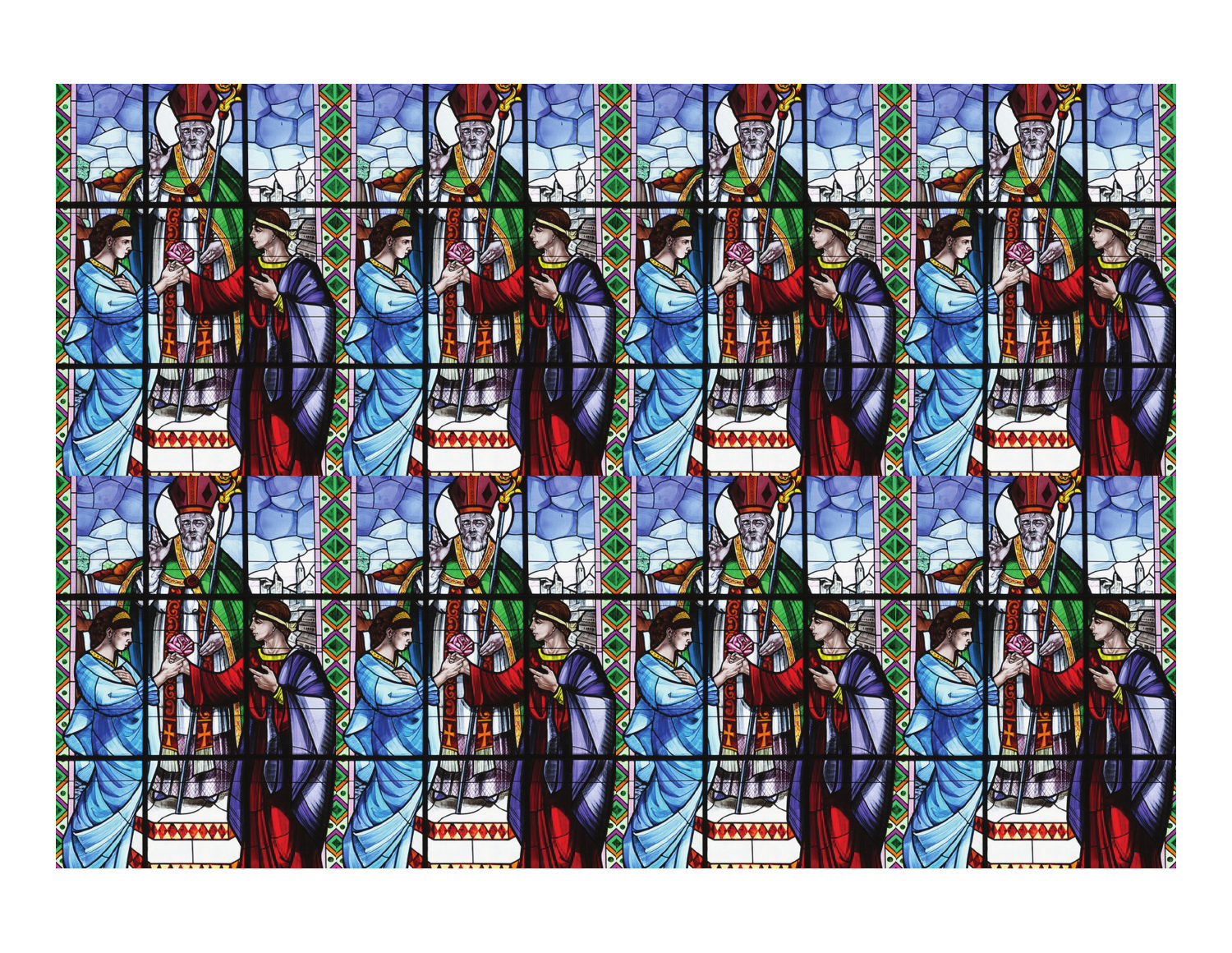